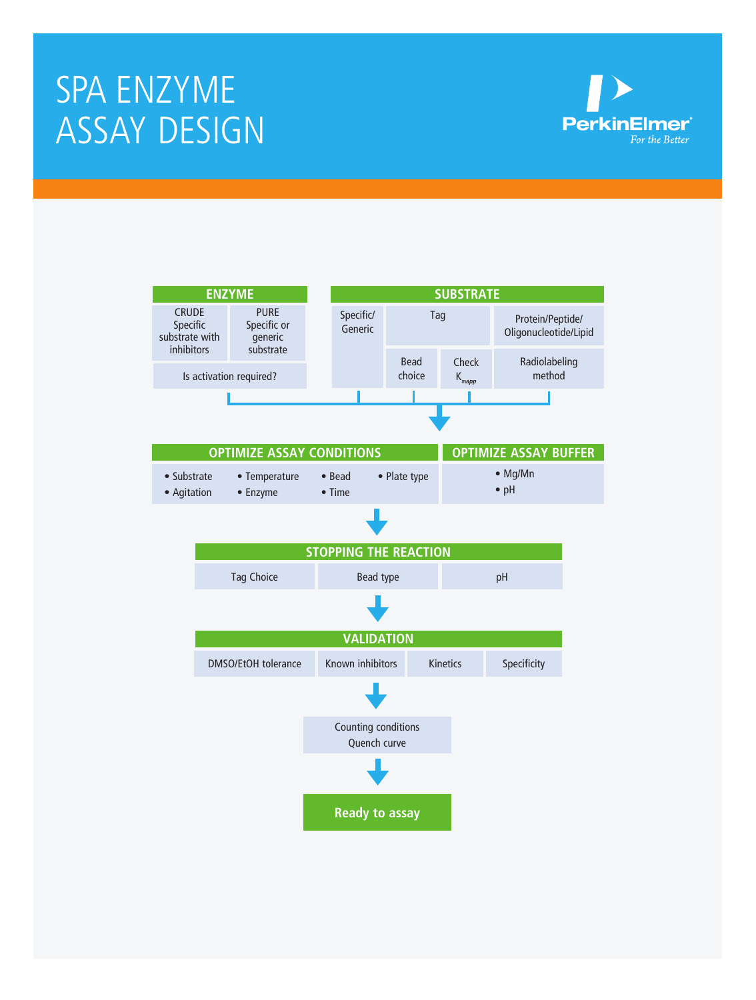# Spa Enzyme assay design